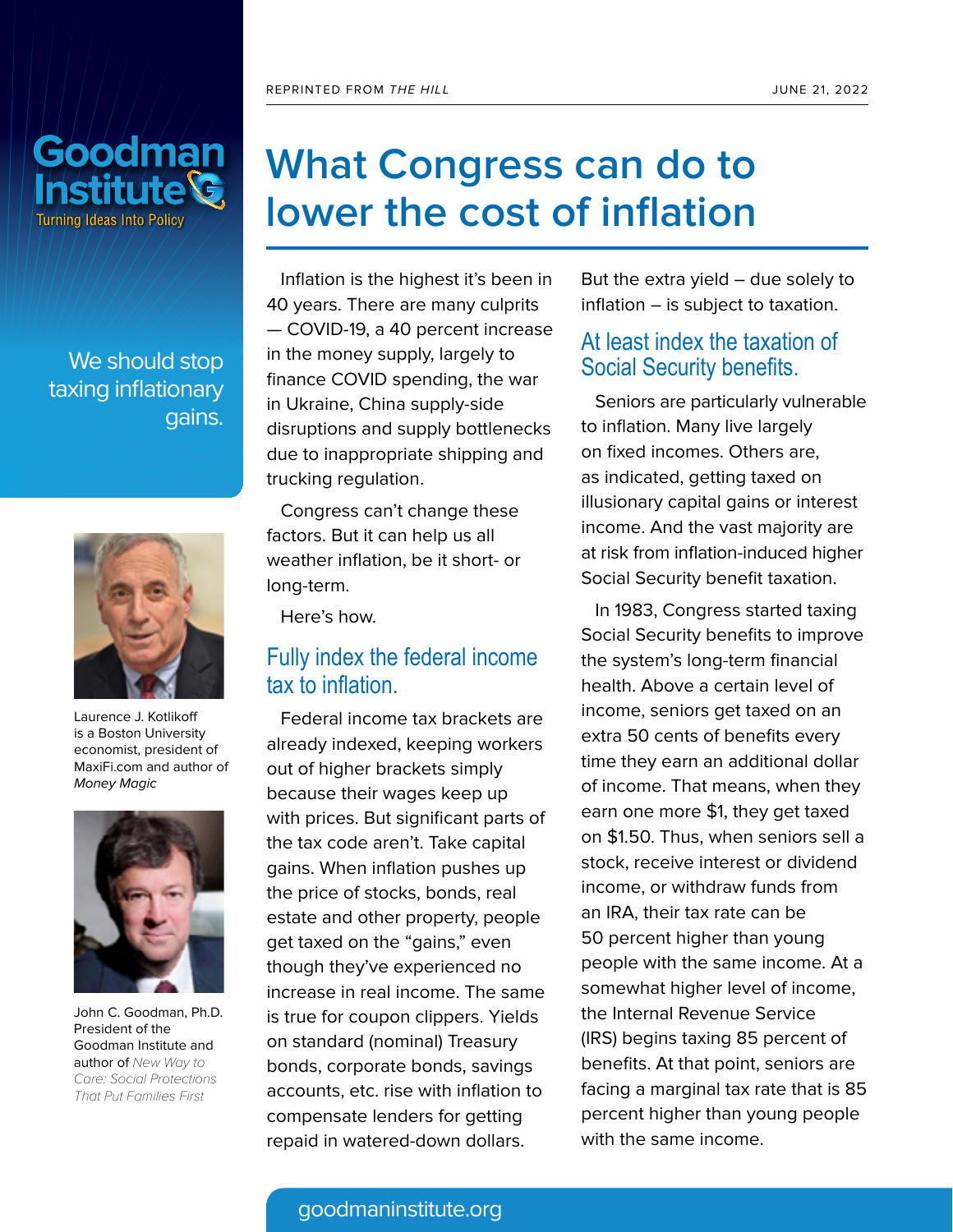

We should stop taxing inflationary gains.



Laurence J. Kotlikoff is a Boston University economist, president of MaxiFi.com and author of Money Magic



John C. Goodman, Ph.D. President of the Goodman Institute and author of New Way to Care: Social Protections That Put Families First

## **What Congress can do to lower the cost of inflation**

Inflation is the highest it's been in 40 years. There are many culprits — COVID-19, a 40 percent increase in the money supply, largely to finance COVID spending, the war in Ukraine, China supply-side disruptions and supply bottlenecks due to inappropriate shipping and trucking regulation.

Congress can't change these factors. But it can help us all weather inflation, be it short- or long-term.

Here's how.

#### Fully index the federal income tax to inflation.

Federal income tax brackets are already indexed, keeping workers out of higher brackets simply because their wages keep up with prices. But significant parts of the tax code aren't. Take capital gains. When inflation pushes up the price of stocks, bonds, real estate and other property, people get taxed on the "gains," even though they've experienced no increase in real income. The same is true for coupon clippers. Yields on standard (nominal) Treasury bonds, corporate bonds, savings accounts, etc. rise with inflation to compensate lenders for getting repaid in watered-down dollars.

But the extra yield  $-$  due solely to inflation – is subject to taxation.

#### At least index the taxation of Social Security benefits.

Seniors are particularly vulnerable to inflation. Many live largely on fixed incomes. Others are, as indicated, getting taxed on illusionary capital gains or interest income. And the vast majority are at risk from inflation-induced higher Social Security benefit taxation.

In 1983, Congress started taxing Social Security benefits to improve the system's long-term financial health. Above a certain level of income, seniors get taxed on an extra 50 cents of benefits every time they earn an additional dollar of income. That means, when they earn one more \$1, they get taxed on \$1.50. Thus, when seniors sell a stock, receive interest or dividend income, or withdraw funds from an IRA, their tax rate can be 50 percent higher than young people with the same income. At a somewhat higher level of income, the Internal Revenue Service (IRS) begins taxing 85 percent of benefits. At that point, seniors are facing a marginal tax rate that is 85 percent higher than young people with the same income.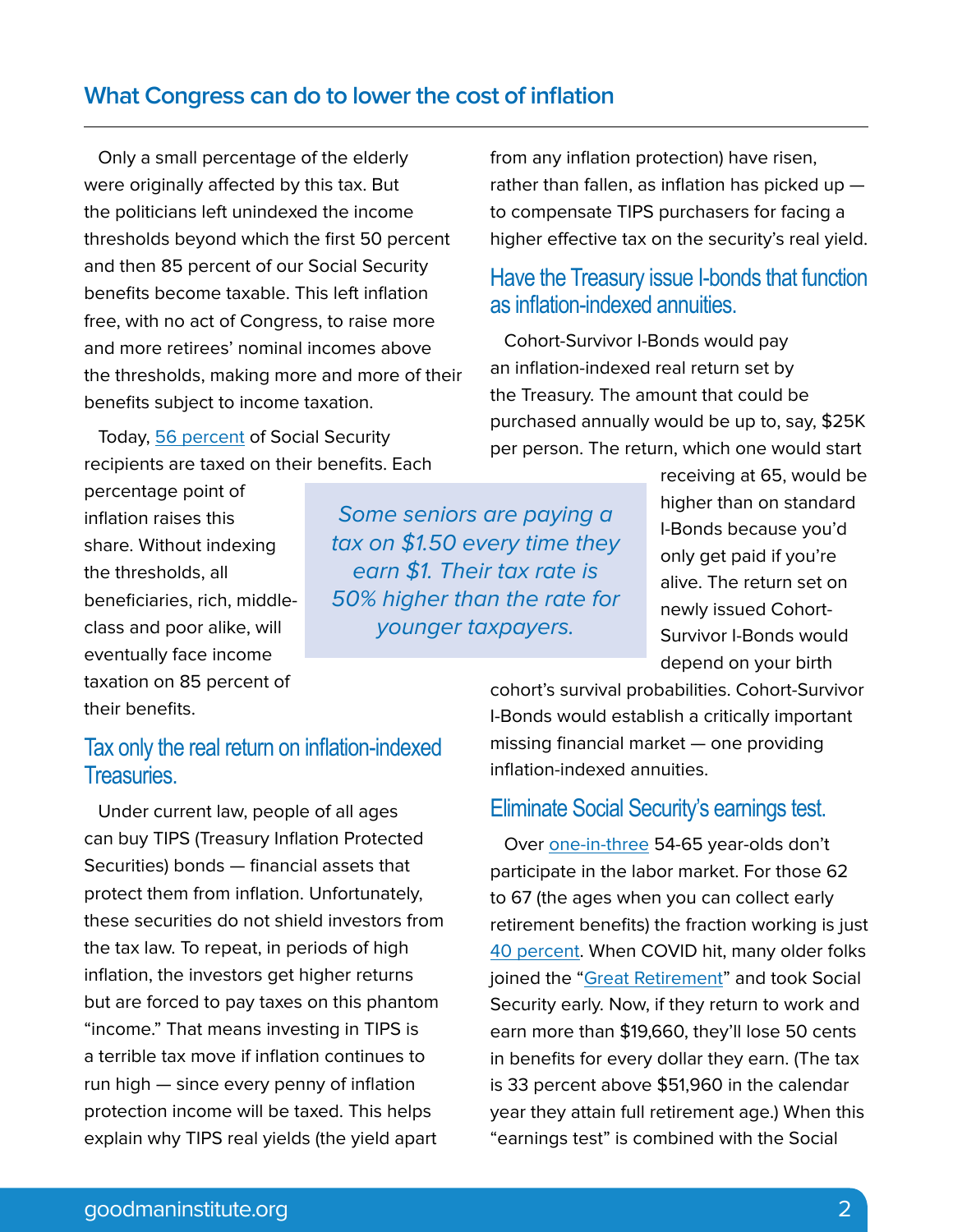#### **What Congress can do to lower the cost of inflation**

Only a small percentage of the elderly were originally affected by this tax. But the politicians left unindexed the income thresholds beyond which the first 50 percent and then 85 percent of our Social Security benefits become taxable. This left inflation free, with no act of Congress, to raise more and more retirees' nominal incomes above the thresholds, making more and more of their benefits subject to income taxation.

Today, [56 percent](https://www.google.com/search?q=share+of+the+social+security+beneficiaries+paying+federal+income+tax+on+their+benefits&rlz=1C5CHFA_enUS943US944&oq=share+of+the+social+security+beneficiaries+paying+federal+income+tax+on+their+benefits&aqs=chrome..69i57.21818j0j7&sourceid=chrome&ie=UTF-8) of Social Security recipients are taxed on their benefits. Each

percentage point of inflation raises this share. Without indexing the thresholds, all beneficiaries, rich, middleclass and poor alike, will eventually face income taxation on 85 percent of their benefits.

Some seniors are paying a tax on \$1.50 every time they earn \$1. Their tax rate is 50% higher than the rate for younger taxpayers.

from any inflation protection) have risen, rather than fallen, as inflation has picked up  $$ to compensate TIPS purchasers for facing a higher effective tax on the security's real yield.

#### Have the Treasury issue I-bonds that function as inflation-indexed annuities.

Cohort-Survivor I-Bonds would pay an inflation-indexed real return set by the Treasury. The amount that could be purchased annually would be up to, say, \$25K per person. The return, which one would start

> receiving at 65, would be higher than on standard I-Bonds because you'd only get paid if you're alive. The return set on newly issued Cohort-Survivor I-Bonds would depend on your birth

#### Tax only the real return on inflation-indexed Treasuries.

Under current law, people of all ages can buy TIPS (Treasury Inflation Protected Securities) bonds — financial assets that protect them from inflation. Unfortunately, these securities do not shield investors from the tax law. To repeat, in periods of high inflation, the investors get higher returns but are forced to pay taxes on this phantom "income." That means investing in TIPS is a terrible tax move if inflation continues to run high — since every penny of inflation protection income will be taxed. This helps explain why TIPS real yields (the yield apart

cohort's survival probabilities. Cohort-Survivor I-Bonds would establish a critically important missing financial market — one providing inflation-indexed annuities.

#### Eliminate Social Security's earnings test.

Over [one-in-three](https://www.bls.gov/emp/tables/civilian-labor-force-participation-rate.htm) 54-65 year-olds don't participate in the labor market. For those 62 to 67 (the ages when you can collect early retirement benefits) the fraction working is just [40 percent.](https://www.google.com/search?q=Labor+force+participation+rate+by+age&sa=N&rlz=1C5CHFA_enUS943US944&biw=1440&bih=764&tbm=isch&source=iu&ictx=1&vet=1&fir=S0Ykcr0zNhXlEM%252CQsGnFTExWZmMfM%252C_%253B-_OuWi4D5DWenM%252CqJAHKt3RMOtDgM%252C_%253B7Pizmp_NuYZ4KM%252CC4_wh6fB60y2hM%252C_%253BiyeTPedTiwh1QM%252Cx6ihp8n1iEgmsM%252C_%253BxsSWdroXHY_2KM%252Cg9qagepxfSSPDM%252C_%253BybjQc8Axbi621M%252Cx6ihp8n1iEgmsM%252C_%253BMxJb5lf5TVFzXM%252CqJAHKt3RMOtDgM%252C_%253BiZFor6ssBqFNsM%252CC__w84NjSPcxmM%252C_%253B5ceuT6n2o8RAuM%252CVcJYsKFzsC0dLM%252C_%253B6i0X8BT3N-jfwM%252CT-j1M9snHmZ-mM%252C_&usg=AI4_-kSA7-kkBMu7n4qXIF2_URtHFIS7Ig&ved=2ahUKEwj_gfKUk6f4AhVbkIkEHc0dCa84ChD1AXoECA8QAQ#imgrc=qIGqRBhWcy1ovM) When COVID hit, many older folks joined the ["Great Retirement"](https://www.washingtonpost.com/opinions/2022/02/18/great-resignation-is-also-great-retirement-baby-boomers-thats-problem/) and took Social Security early. Now, if they return to work and earn more than \$19,660, they'll lose 50 cents in benefits for every dollar they earn. (The tax is 33 percent above \$51,960 in the calendar year they attain full retirement age.) When this "earnings test" is combined with the Social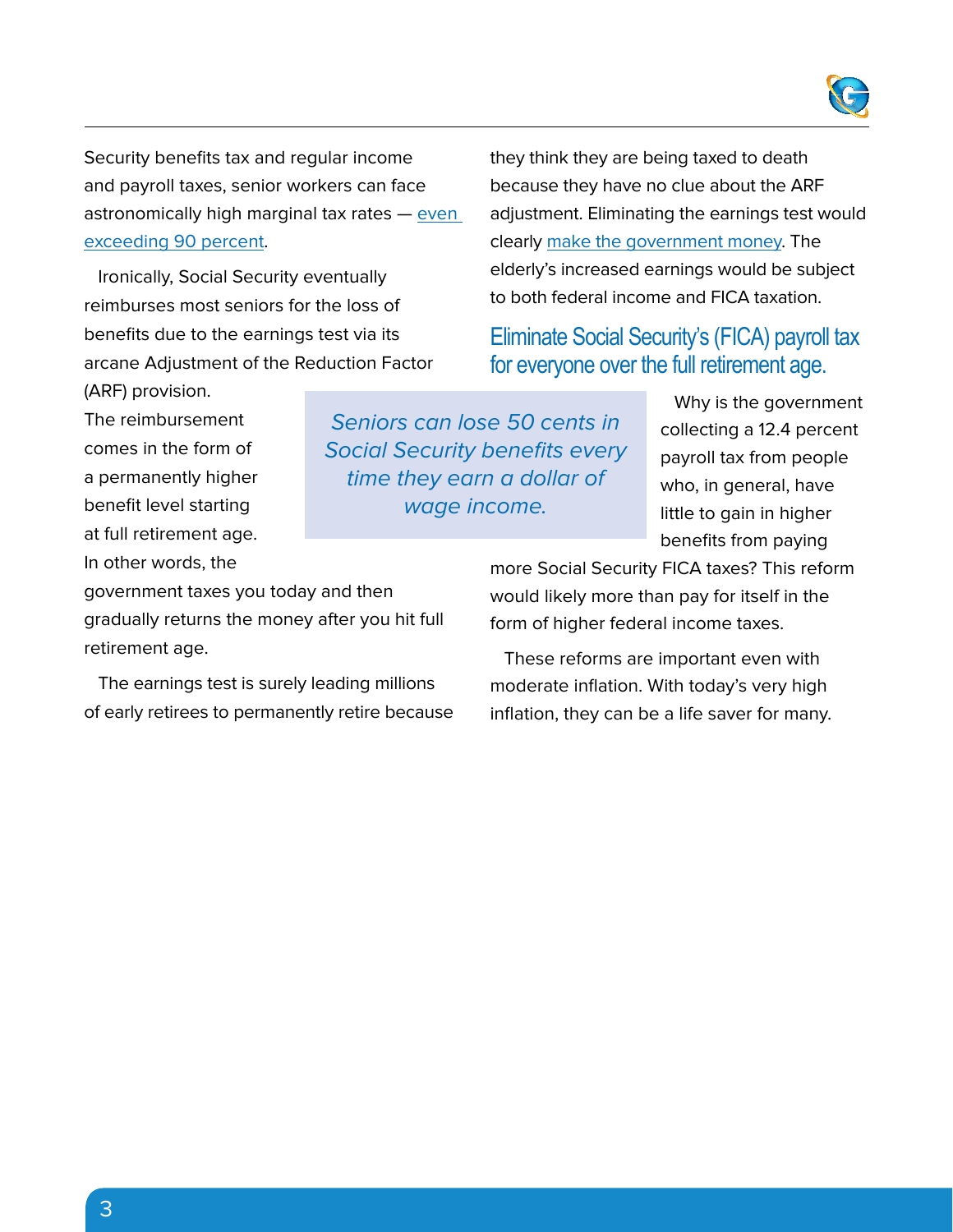

Security benefits tax and regular income and payroll taxes, senior workers can face astronomically high marginal tax rates — [even](https://www.goodmaninstitute.org/wp-content/uploads/2016/10/BA-115.pdf)  [exceeding 90 percent](https://www.goodmaninstitute.org/wp-content/uploads/2016/10/BA-115.pdf).

Ironically, Social Security eventually reimburses most seniors for the loss of benefits due to the earnings test via its arcane Adjustment of the Reduction Factor they think they are being taxed to death because they have no clue about the ARF adjustment. Eliminating the earnings test would clearly [make the government money](https://www.nytimes.com/2015/08/15/opinion/let-older-americans-keep-working.html?_r=0%7Bc2b7f9f15255a3acb8f16c7bd76768367dd7acfe345c520b289b1ff4166909f9%7D20). The elderly's increased earnings would be subject to both federal income and FICA taxation.

Eliminate Social Security's (FICA) payroll tax for everyone over the full retirement age.

(ARF) provision. The reimbursement comes in the form of a permanently higher benefit level starting at full retirement age. In other words, the

Seniors can lose 50 cents in Social Security benefits every time they earn a dollar of wage income.

Why is the government collecting a 12.4 percent payroll tax from people who, in general, have little to gain in higher benefits from paying

government taxes you today and then gradually returns the money after you hit full retirement age.

The earnings test is surely leading millions of early retirees to permanently retire because more Social Security FICA taxes? This reform would likely more than pay for itself in the form of higher federal income taxes.

These reforms are important even with moderate inflation. With today's very high inflation, they can be a life saver for many.